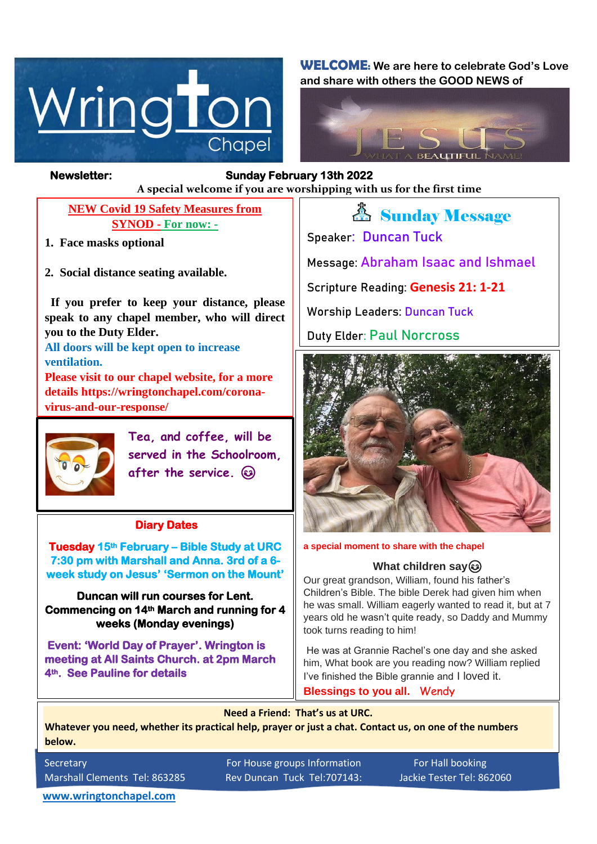

**WELCOME: We are here to celebrate God's Love and share with others the GOOD NEWS of**



### *Figure 1ready steady* **A special welcome if you are worshipping with us for the first time Newsletter: Sunday February 13th 2022**

## **NEW Covid 19 Safety Measures from SYNOD - For now: -**

- **1. Face masks optional**
- **2. Social distance seating available.**

 **If you prefer to keep your distance, please speak to any chapel member, who will direct you to the Duty Elder.**

**All doors will be kept open to increase ventilation.**

**Please visit to our chapel website, for a more details https://wringtonchapel.com/coronavirus-and-our-response/**



 $\overline{a}$ 

**Tea, and coffee, will be served in the Schoolroom, after the service.** 

## **Diary Dates**

 **Tuesday 15th February – Bible Study at URC week study on Jesus' 'Sermon on the Mount' 7:30 pm with Marshall and Anna. 3rd of a 6-**

**Duncan will run courses for Lent. Commencing on 14th March and running for 4 weeks (Monday evenings)** 

 **Event: 'World Day of Prayer'. Wrington is meeting at All Saints Church. at 2pm March 4th. See Pauline for details** 

*A* Sunday Message **Speaker: Duncan Tuck Message: Abraham Isaac and Ishmael Scripture Reading: Genesis 21: 1-21 Worship Leaders: Duncan Tuck Duty Elder: Paul Norcross**



#### **a special moment to share with the chapel**

#### **What children say**

Our great grandson, William, found his father's Children's Bible. The bible Derek had given him when he was small. William eagerly wanted to read it, but at 7 years old he wasn't quite ready, so Daddy and Mummy took turns reading to him!

He was at Grannie Rachel's one day and she asked him, What book are you reading now? William replied I've finished the Bible grannie and I loved it. **Blessings to you all.** Wendy

**Need a Friend: That's us at URC.**

**Whatever you need, whether its practical help, prayer or just a chat. Contact us, on one of the numbers below.**

Secretary **For House groups Information** For Hall booking Marshall Clements Tel: 863285 Rev Duncan Tuck Tel:707143: Jackie Tester Tel: 862060

**[www.wringtonchapel.com](http://www.wringtonchapel.com/)**